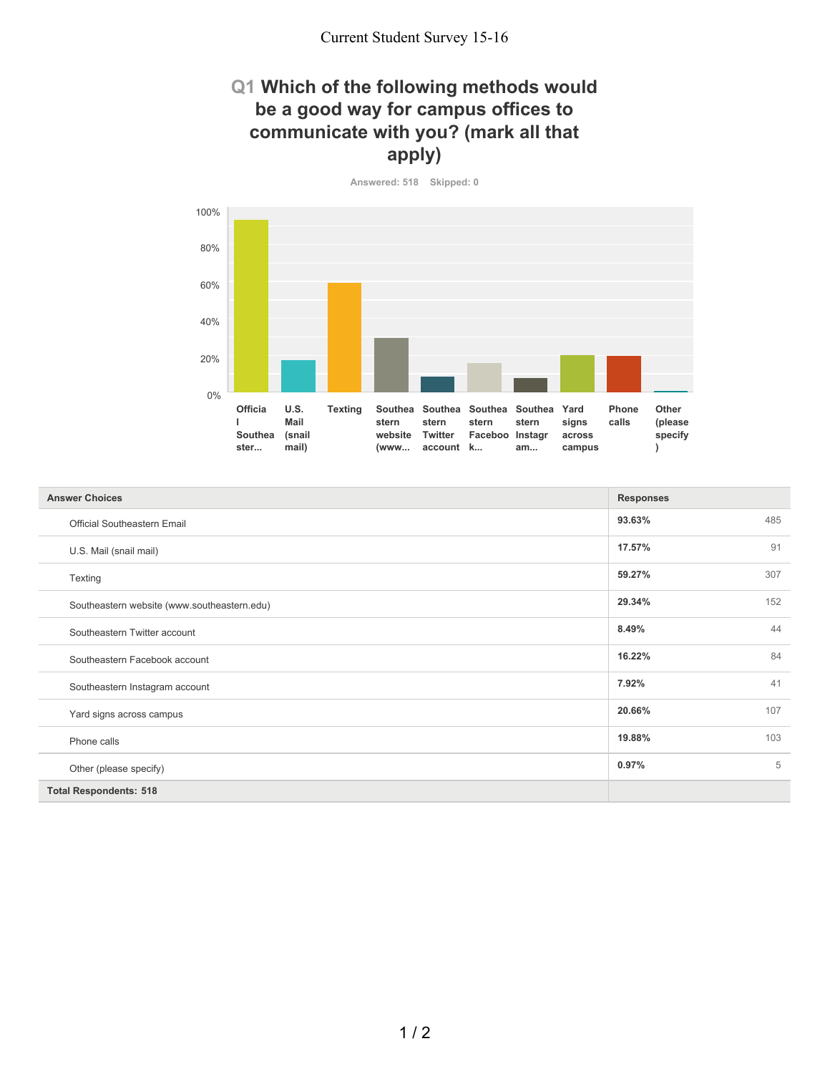## **Q1 Which of the following methods would be a good way for campus offices to communicate with you? (mark all that apply)**

**Answered: 518 Skipped: 0**



| <b>Answer Choices</b>                       | <b>Responses</b> |
|---------------------------------------------|------------------|
| <b>Official Southeastern Email</b>          | 93.63%<br>485    |
| U.S. Mail (snail mail)                      | 91<br>17.57%     |
| Texting                                     | 307<br>59.27%    |
| Southeastern website (www.southeastern.edu) | 29.34%<br>152    |
| Southeastern Twitter account                | 44<br>8.49%      |
| Southeastern Facebook account               | 84<br>16.22%     |
| Southeastern Instagram account              | 41<br>7.92%      |
| Yard signs across campus                    | 107<br>20.66%    |
| Phone calls                                 | 103<br>19.88%    |
| Other (please specify)                      | 5<br>0.97%       |
| <b>Total Respondents: 518</b>               |                  |